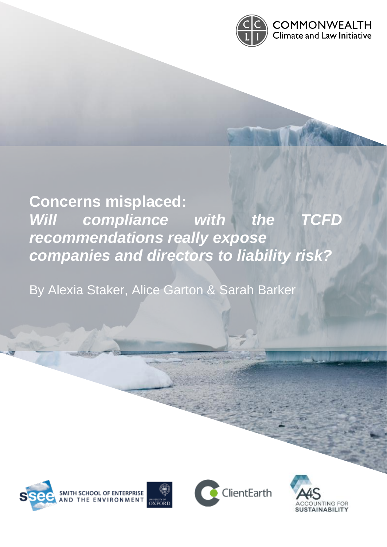

# **Concerns misplaced:**  Will compliance with the TCFD *recommendations really expose companies and directors to liability risk?*

By Alexia Staker, Alice Garton & Sarah Barker





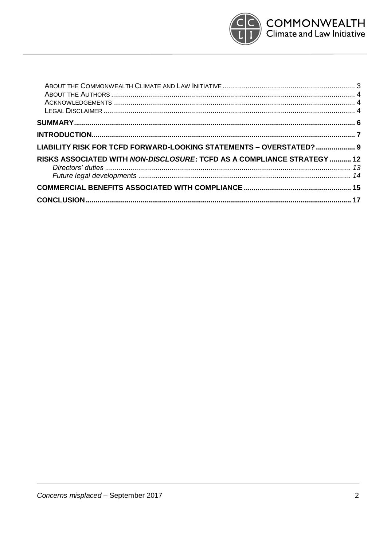

| LIABILITY RISK FOR TCFD FORWARD-LOOKING STATEMENTS - OVERSTATED?  9     |  |
|-------------------------------------------------------------------------|--|
| RISKS ASSOCIATED WITH NON-DISCLOSURE: TCFD AS A COMPLIANCE STRATEGY  12 |  |
|                                                                         |  |
|                                                                         |  |
|                                                                         |  |
|                                                                         |  |
|                                                                         |  |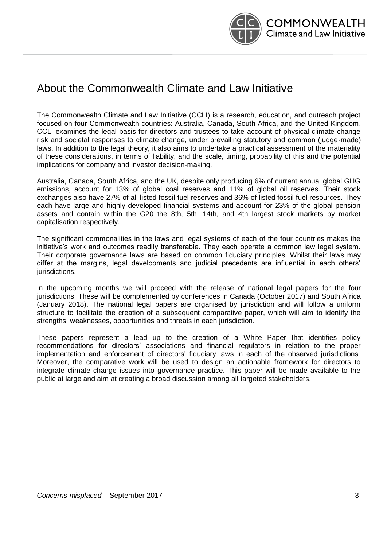

### About the Commonwealth Climate and Law Initiative

The Commonwealth Climate and Law Initiative (CCLI) is a research, education, and outreach project focused on four Commonwealth countries: Australia, Canada, South Africa, and the United Kingdom. CCLI examines the legal basis for directors and trustees to take account of physical climate change risk and societal responses to climate change, under prevailing statutory and common (judge-made) laws. In addition to the legal theory, it also aims to undertake a practical assessment of the materiality of these considerations, in terms of liability, and the scale, timing, probability of this and the potential implications for company and investor decision-making.

Australia, Canada, South Africa, and the UK, despite only producing 6% of current annual global GHG emissions, account for 13% of global coal reserves and 11% of global oil reserves. Their stock exchanges also have 27% of all listed fossil fuel reserves and 36% of listed fossil fuel resources. They each have large and highly developed financial systems and account for 23% of the global pension assets and contain within the G20 the 8th, 5th, 14th, and 4th largest stock markets by market capitalisation respectively.

The significant commonalities in the laws and legal systems of each of the four countries makes the initiative's work and outcomes readily transferable. They each operate a common law legal system. Their corporate governance laws are based on common fiduciary principles. Whilst their laws may differ at the margins, legal developments and judicial precedents are influential in each others' jurisdictions.

In the upcoming months we will proceed with the release of national legal papers for the four jurisdictions. These will be complemented by conferences in Canada (October 2017) and South Africa (January 2018). The national legal papers are organised by jurisdiction and will follow a uniform structure to facilitate the creation of a subsequent comparative paper, which will aim to identify the strengths, weaknesses, opportunities and threats in each jurisdiction.

These papers represent a lead up to the creation of a White Paper that identifies policy recommendations for directors' associations and financial regulators in relation to the proper implementation and enforcement of directors' fiduciary laws in each of the observed jurisdictions. Moreover, the comparative work will be used to design an actionable framework for directors to integrate climate change issues into governance practice. This paper will be made available to the public at large and aim at creating a broad discussion among all targeted stakeholders.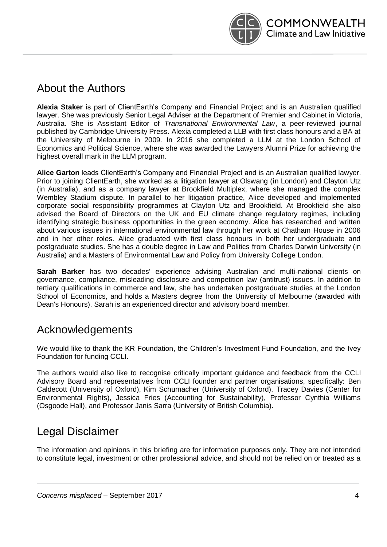

### About the Authors

**Alexia Staker** is part of ClientEarth's Company and Financial Project and is an Australian qualified lawyer. She was previously Senior Legal Adviser at the Department of Premier and Cabinet in Victoria, Australia. She is Assistant Editor of *Transnational Environmental Law*, a peer-reviewed journal published by Cambridge University Press. Alexia completed a LLB with first class honours and a BA at the University of Melbourne in 2009. In 2016 she completed a LLM at the London School of Economics and Political Science, where she was awarded the Lawyers Alumni Prize for achieving the highest overall mark in the LLM program.

**Alice Garton** leads ClientEarth's Company and Financial Project and is an Australian qualified lawyer. Prior to joining ClientEarth, she worked as a litigation lawyer at Olswang (in London) and Clayton Utz (in Australia), and as a company lawyer at Brookfield Multiplex, where she managed the complex Wembley Stadium dispute. In parallel to her litigation practice, Alice developed and implemented corporate social responsibility programmes at Clayton Utz and Brookfield. At Brookfield she also advised the Board of Directors on the UK and EU climate change regulatory regimes, including identifying strategic business opportunities in the green economy. Alice has researched and written about various issues in international environmental law through her work at Chatham House in 2006 and in her other roles. Alice graduated with first class honours in both her undergraduate and postgraduate studies. She has a double degree in Law and Politics from Charles Darwin University (in Australia) and a Masters of Environmental Law and Policy from University College London.

**Sarah Barker** has two decades' experience advising Australian and multi-national clients on governance, compliance, misleading disclosure and competition law (antitrust) issues. In addition to tertiary qualifications in commerce and law, she has undertaken postgraduate studies at the London School of Economics, and holds a Masters degree from the University of Melbourne (awarded with Dean's Honours). Sarah is an experienced director and advisory board member.

### Acknowledgements

We would like to thank the KR Foundation, the Children's Investment Fund Foundation, and the Ivey Foundation for funding CCLI.

The authors would also like to recognise critically important guidance and feedback from the CCLI Advisory Board and representatives from CCLI founder and partner organisations, specifically: Ben Caldecott (University of Oxford), Kim Schumacher (University of Oxford), Tracey Davies (Center for Environmental Rights), Jessica Fries (Accounting for Sustainability), Professor Cynthia Williams (Osgoode Hall), and Professor Janis Sarra (University of British Columbia).

### Legal Disclaimer

The information and opinions in this briefing are for information purposes only. They are not intended to constitute legal, investment or other professional advice, and should not be relied on or treated as a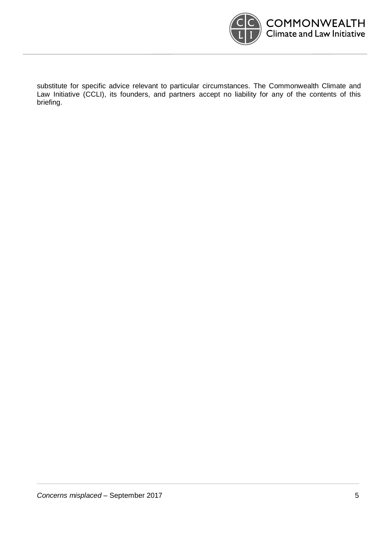

substitute for specific advice relevant to particular circumstances. The Commonwealth Climate and Law Initiative (CCLI), its founders, and partners accept no liability for any of the contents of this briefing.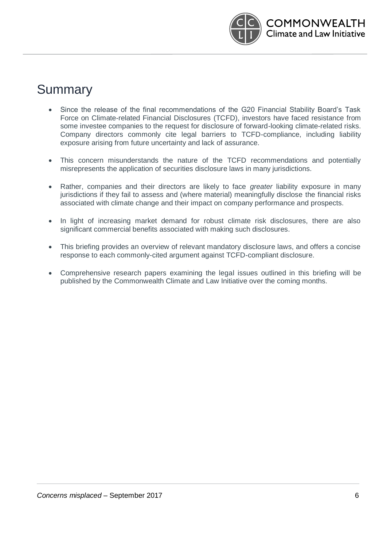

## **Summary**

- Since the release of the final recommendations of the G20 Financial Stability Board's Task Force on Climate-related Financial Disclosures (TCFD), investors have faced resistance from some investee companies to the request for disclosure of forward-looking climate-related risks. Company directors commonly cite legal barriers to TCFD-compliance, including liability exposure arising from future uncertainty and lack of assurance.
- This concern misunderstands the nature of the TCFD recommendations and potentially misrepresents the application of securities disclosure laws in many jurisdictions.
- Rather, companies and their directors are likely to face *greater* liability exposure in many jurisdictions if they fail to assess and (where material) meaningfully disclose the financial risks associated with climate change and their impact on company performance and prospects.
- In light of increasing market demand for robust climate risk disclosures, there are also significant commercial benefits associated with making such disclosures.
- This briefing provides an overview of relevant mandatory disclosure laws, and offers a concise response to each commonly-cited argument against TCFD-compliant disclosure.
- Comprehensive research papers examining the legal issues outlined in this briefing will be published by the Commonwealth Climate and Law Initiative over the coming months.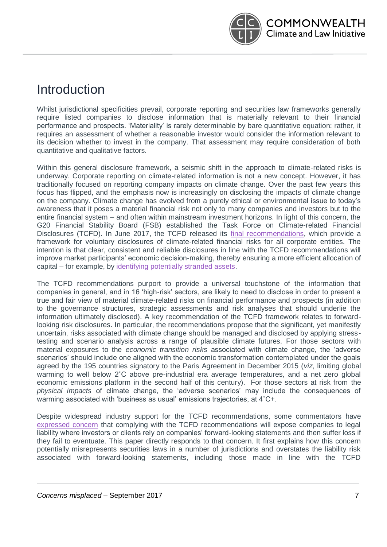

### Introduction

Whilst jurisdictional specificities prevail, corporate reporting and securities law frameworks generally require listed companies to disclose information that is materially relevant to their financial performance and prospects. 'Materiality' is rarely determinable by bare quantitative equation: rather, it requires an assessment of whether a reasonable investor would consider the information relevant to its decision whether to invest in the company. That assessment may require consideration of both quantitative and qualitative factors.

Within this general disclosure framework, a seismic shift in the approach to climate-related risks is underway. Corporate reporting on climate-related information is not a new concept. However, it has traditionally focused on reporting company impacts on climate change. Over the past few years this focus has flipped, and the emphasis now is increasingly on disclosing the impacts of climate change on the company. Climate change has evolved from a purely ethical or environmental issue to today's awareness that it poses a material financial risk not only to many companies and investors but to the entire financial system – and often within mainstream investment horizons. In light of this concern, the G20 Financial Stability Board (FSB) established the Task Force on Climate-related Financial Disclosures (TCFD). In June 2017, the TCFD released its [final recommendations,](https://www.fsb-tcfd.org/publications/final-recommendations-report/) which provide a framework for voluntary disclosures of climate-related financial risks for all corporate entities. The intention is that clear, consistent and reliable disclosures in line with the TCFD recommendations will improve market participants' economic decision-making, thereby ensuring a more efficient allocation of capital – for example, by [identifying potentially stranded assets.](https://www.ipe.com/investment/esg/esg-the-climate-conundrum/10019715.article?utm_term=&utm_source=IPE%20Weekly%20View&utm_medium=Email&utm_content=ESG%3A%20The%20climate%20conundrum%C2%A0_https%3A%2F%2Fwww.ipe.com%2Finvestment%2Fesg%2Fesg-the-climate-conundrum%2F10019715.article&utm_campaign=3.7.16%20ipe%20weely%20view_Could%20climate%20cause%20the%20next%20financial%20crisis%3F)

The TCFD recommendations purport to provide a universal touchstone of the information that companies in general, and in 16 'high-risk' sectors, are likely to need to disclose in order to present a true and fair view of material climate-related risks on financial performance and prospects (in addition to the governance structures, strategic assessments and risk analyses that should underlie the information ultimately disclosed). A key recommendation of the TCFD framework relates to forwardlooking risk disclosures. In particular, the recommendations propose that the significant, yet manifestly uncertain, risks associated with climate change should be managed and disclosed by applying stresstesting and scenario analysis across a range of plausible climate futures. For those sectors with material exposures to the *economic transition risks* associated with climate change, the 'adverse scenarios' should include one aligned with the economic transformation contemplated under the goals agreed by the 195 countries signatory to the Paris Agreement in December 2015 (*viz*, limiting global warming to well below 2<sup>°</sup>C above pre-industrial era average temperatures, and a net zero global economic emissions platform in the second half of this century). For those sectors at risk from the *physical impacts* of climate change, the 'adverse scenarios' may include the consequences of warming associated with 'business as usual' emissions trajectories, at 4˚C+.

Despite widespread industry support for the TCFD recommendations, some commentators have [expressed concern](https://www.environmental-finance.com/content/analysis/the-legal-risks-of-reporting-climate-risks.html?utm_source=280617na&utm_medium=email&utm_campaign=alert) that complying with the TCFD recommendations will expose companies to legal liability where investors or clients rely on companies' forward-looking statements and then suffer loss if they fail to eventuate. This paper directly responds to that concern. It first explains how this concern potentially misrepresents securities laws in a number of jurisdictions and overstates the liability risk associated with forward-looking statements, including those made in line with the TCFD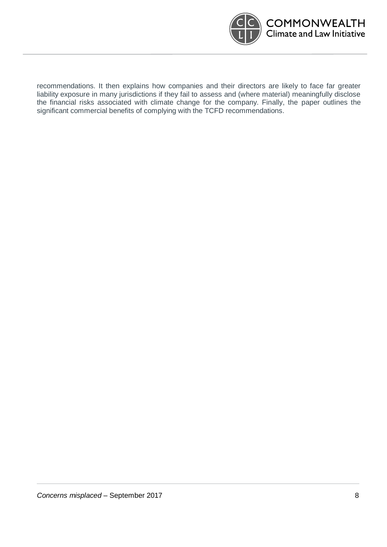

recommendations. It then explains how companies and their directors are likely to face far greater liability exposure in many jurisdictions if they fail to assess and (where material) meaningfully disclose the financial risks associated with climate change for the company. Finally, the paper outlines the significant commercial benefits of complying with the TCFD recommendations.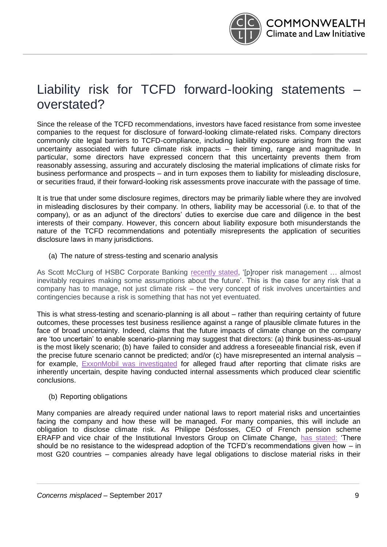

## Liability risk for TCFD forward-looking statements – overstated?

Since the release of the TCFD recommendations, investors have faced resistance from some investee companies to the request for disclosure of forward-looking climate-related risks. Company directors commonly cite legal barriers to TCFD-compliance, including liability exposure arising from the vast uncertainty associated with future climate risk impacts – their timing, range and magnitude. In particular, some directors have expressed concern that this uncertainty prevents them from reasonably assessing, assuring and accurately disclosing the material implications of climate risks for business performance and prospects – and in turn exposes them to liability for misleading disclosure, or securities fraud, if their forward-looking risk assessments prove inaccurate with the passage of time.

It is true that under some disclosure regimes, directors may be primarily liable where they are involved in misleading disclosures by their company. In others, liability may be accessorial (i.e. to that of the company), or as an adjunct of the directors' duties to exercise due care and diligence in the best interests of their company. However, this concern about liability exposure both misunderstands the nature of the TCFD recommendations and potentially misrepresents the application of securities disclosure laws in many jurisdictions.

#### (a) The nature of stress-testing and scenario analysis

As Scott McClurg of HSBC Corporate Banking [recently stated,](https://www.businessgreen.com/bg/opinion/3012718/why-is-nobody-talking-about-risk) '[p]roper risk management … almost inevitably requires making some assumptions about the future'. This is the case for any risk that a company has to manage, not just climate risk – the very concept of risk involves uncertainties and contingencies because a risk is something that has not yet eventuated.

This is what stress-testing and scenario-planning is all about – rather than requiring certainty of future outcomes, these processes test business resilience against a range of plausible climate futures in the face of broad uncertainty. Indeed, claims that the future impacts of climate change on the company are 'too uncertain' to enable scenario-planning may suggest that directors: (a) think business-as-usual is the most likely scenario; (b) have failed to consider and address a foreseeable financial risk, even if the precise future scenario cannot be predicted; and/or (c) have misrepresented an internal analysis – for example, [ExxonMobil was investigated](https://www.bloomberg.com/news/articles/2016-09-07/will-exxonmobil-have-to-pay-for-misleading-the-public-on-climate-change) for alleged fraud after reporting that climate risks are inherently uncertain, despite having conducted internal assessments which produced clear scientific conclusions.

#### (b) Reporting obligations

Many companies are already required under national laws to report material risks and uncertainties facing the company and how these will be managed. For many companies, this will include an obligation to disclose climate risk. As Philippe Désfosses, CEO of French pension scheme ERAFP and vice chair of the Institutional Investors Group on Climate Change, [has stated:](https://www.ipe.com/news/esg/investors-urge-widespread-adoption-of-tcfd-climate-reporting-framework/10019644.article?utm_term=&utm_source=IPE%20Weekly%20View&utm_medium=Email&utm_content=Read%20More..._https%3A%2F%2Fwww.ipe.com%2Fnews%2Fesg%2Finvestors-urge-widespread-adoption-of-tcfd-climate-reporting-framework%2F10019644.article&utm_campaign=3.7.16%20ipe%20weely%20view_Could%20climate%20cause%20the%20next%20financial%20crisis%3F) 'There should be no resistance to the widespread adoption of the TCFD's recommendations given how – in most G20 countries – companies already have legal obligations to disclose material risks in their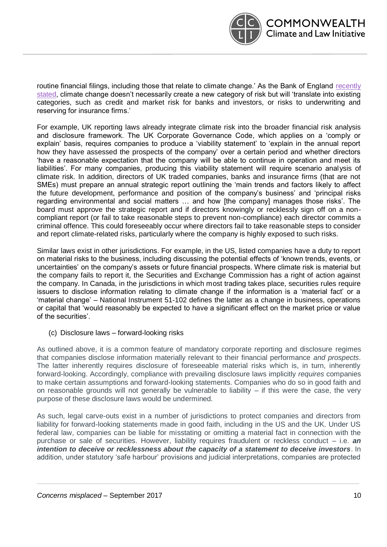

routine financial filings, including those that relate to climate change.' As the Bank of England recently [stated,](http://www.bankofengland.co.uk/Pages/reader/index.aspx?pub=qb17q2article2&page=1) climate change doesn't necessarily create a new category of risk but will 'translate into existing categories, such as credit and market risk for banks and investors, or risks to underwriting and reserving for insurance firms.'

For example, UK reporting laws already integrate climate risk into the broader financial risk analysis and disclosure framework. The UK Corporate Governance Code, which applies on a 'comply or explain' basis, requires companies to produce a 'viability statement' to 'explain in the annual report how they have assessed the prospects of the company' over a certain period and whether directors 'have a reasonable expectation that the company will be able to continue in operation and meet its liabilities'. For many companies, producing this viability statement will require scenario analysis of climate risk. In addition, directors of UK traded companies, banks and insurance firms (that are not SMEs) must prepare an annual strategic report outlining the 'main trends and factors likely to affect the future development, performance and position of the company's business' and 'principal risks regarding environmental and social matters … and how [the company] manages those risks'. The board must approve the strategic report and if directors knowingly or recklessly sign off on a noncompliant report (or fail to take reasonable steps to prevent non-compliance) each director commits a criminal offence. This could foreseeably occur where directors fail to take reasonable steps to consider and report climate-related risks, particularly where the company is highly exposed to such risks.

Similar laws exist in other jurisdictions. For example, in the US, listed companies have a duty to report on material risks to the business, including discussing the potential effects of 'known trends, events, or uncertainties' on the company's assets or future financial prospects. Where climate risk is material but the company fails to report it, the Securities and Exchange Commission has a right of action against the company. In Canada, in the jurisdictions in which most trading takes place, securities rules require issuers to disclose information relating to climate change if the information is a 'material fact' or a 'material change' – National Instrument 51-102 defines the latter as a change in business, operations or capital that 'would reasonably be expected to have a significant effect on the market price or value of the securities'.

#### (c) Disclosure laws – forward-looking risks

As outlined above, it is a common feature of mandatory corporate reporting and disclosure regimes that companies disclose information materially relevant to their financial performance *and prospects*. The latter inherently requires disclosure of foreseeable material risks which is, in turn, inherently forward-looking. Accordingly, compliance with prevailing disclosure laws implicitly *requires* companies to make certain assumptions and forward-looking statements. Companies who do so in good faith and on reasonable grounds will not generally be vulnerable to liability  $-$  if this were the case, the very purpose of these disclosure laws would be undermined.

As such, legal carve-outs exist in a number of jurisdictions to protect companies and directors from liability for forward-looking statements made in good faith, including in the US and the UK. Under US federal law, companies can be liable for misstating or omitting a material fact in connection with the purchase or sale of securities. However, liability requires fraudulent or reckless conduct – i.e. *an intention to deceive or recklessness about the capacity of a statement to deceive investors*. In addition, under statutory 'safe harbour' provisions and judicial interpretations, companies are protected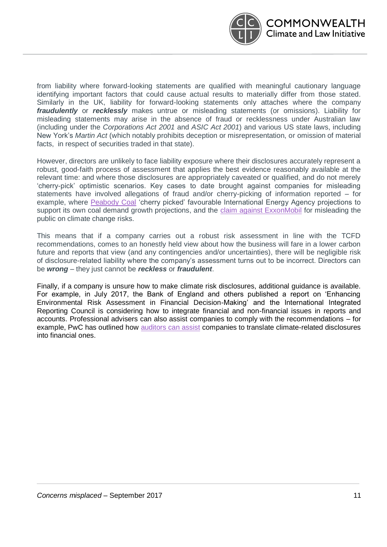

from liability where forward-looking statements are qualified with meaningful cautionary language identifying important factors that could cause actual results to materially differ from those stated. Similarly in the UK, liability for forward-looking statements only attaches where the company *fraudulently* or *recklessly* makes untrue or misleading statements (or omissions). Liability for misleading statements may arise in the absence of fraud or recklessness under Australian law (including under the *Corporations Act 2001* and *ASIC Act 2001*) and various US state laws, including New York's *Martin Act* (which notably prohibits deception or misrepresentation, or omission of material facts, in respect of securities traded in that state).

However, directors are unlikely to face liability exposure where their disclosures accurately represent a robust, good-faith process of assessment that applies the best evidence reasonably available at the relevant time: and where those disclosures are appropriately caveated or qualified, and do not merely 'cherry-pick' optimistic scenarios. Key cases to date brought against companies for misleading statements have involved allegations of fraud and/or cherry-picking of information reported – for example, where [Peabody Coal](https://www.theguardian.com/environment/2015/nov/12/peabody-strikes-deal-with-new-york-attorney-general-over-climate-risk-filings) 'cherry picked' favourable International Energy Agency projections to support its own coal demand growth projections, and the [claim against ExxonMobil](http://www.reuters.com/article/usa-climatechange-exxon-idUSL1N1IZ0O4) for misleading the public on climate change risks.

This means that if a company carries out a robust risk assessment in line with the TCFD recommendations, comes to an honestly held view about how the business will fare in a lower carbon future and reports that view (and any contingencies and/or uncertainties), there will be negligible risk of disclosure-related liability where the company's assessment turns out to be incorrect. Directors can be *wrong* – they just cannot be *reckless* or *fraudulent*.

Finally, if a company is unsure how to make climate risk disclosures, additional guidance is available. For example, in July 2017, the Bank of England and others published a report on 'Enhancing Environmental Risk Assessment in Financial Decision-Making' and the International Integrated Reporting Council is considering how to integrate financial and non-financial issues in reports and accounts. Professional advisers can also assist companies to comply with the recommendations – for example, PwC has outlined how [auditors can assist](https://www.pwc.co.uk/sustainability-climate-change/assets/pdf/tcfd-final-report.pdf) companies to translate climate-related disclosures into financial ones.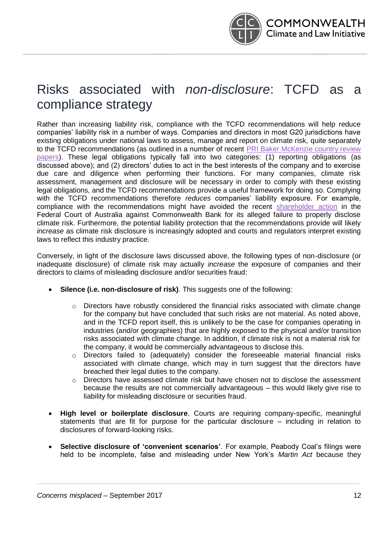

## Risks associated with *non-disclosure*: TCFD as a compliance strategy

Rather than increasing liability risk, compliance with the TCFD recommendations will help reduce companies' liability risk in a number of ways. Companies and directors in most G20 jurisdictions have existing obligations under national laws to assess, manage and report on climate risk, quite separately to the TCFD recommendations (as outlined in a number of recent [PRI Baker McKenzie country review](https://www.unpri.org/about/pri-teams/policy)  [papers\)](https://www.unpri.org/about/pri-teams/policy). These legal obligations typically fall into two categories: (1) reporting obligations (as discussed above); and (2) directors' duties to act in the best interests of the company and to exercise due care and diligence when performing their functions. For many companies, climate risk assessment, management and disclosure will be necessary in order to comply with these existing legal obligations, and the TCFD recommendations provide a useful framework for doing so. Complying with the TCFD recommendations therefore *reduces* companies' liability exposure. For example, compliance with the recommendations might have avoided the recent [shareholder action](https://www.theguardian.com/australia-news/2017/aug/08/commonwealth-bank-shareholders-sue-over-inadequate-disclosure-of-climate-change-risks) in the Federal Court of Australia against Commonwealth Bank for its alleged failure to properly disclose climate risk. Furthermore, the potential liability protection that the recommendations provide will likely *increase* as climate risk disclosure is increasingly adopted and courts and regulators interpret existing laws to reflect this industry practice.

Conversely, in light of the disclosure laws discussed above, the following types of non-disclosure (or inadequate disclosure) of climate risk may actually *increase* the exposure of companies and their directors to claims of misleading disclosure and/or securities fraud:

- **Silence (i.e. non-disclosure of risk)**. This suggests one of the following:
	- $\circ$  Directors have robustly considered the financial risks associated with climate change for the company but have concluded that such risks are not material. As noted above, and in the TCFD report itself, this is unlikely to be the case for companies operating in industries (and/or geographies) that are highly exposed to the physical and/or transition risks associated with climate change. In addition, if climate risk is not a material risk for the company, it would be commercially advantageous to disclose this.
	- o Directors failed to (adequately) consider the foreseeable material financial risks associated with climate change, which may in turn suggest that the directors have breached their legal duties to the company.
	- o Directors have assessed climate risk but have chosen not to disclose the assessment because the results are not commercially advantageous – this would likely give rise to liability for misleading disclosure or securities fraud.
- **High level or boilerplate disclosure**. Courts are requiring company-specific, meaningful statements that are fit for purpose for the particular disclosure – including in relation to disclosures of forward-looking risks.
- **Selective disclosure of 'convenient scenarios'**. For example, Peabody Coal's filings were held to be incomplete, false and misleading under New York's *Martin Act* because they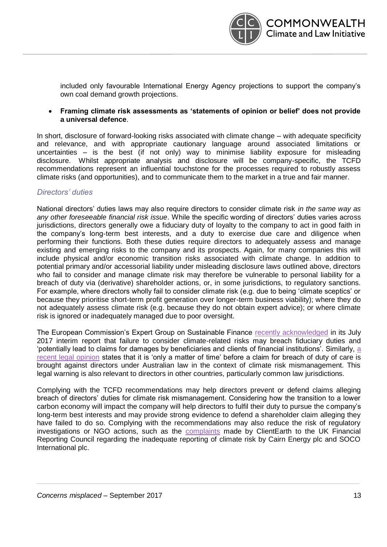

included only favourable International Energy Agency projections to support the company's own coal demand growth projections.

• **Framing climate risk assessments as 'statements of opinion or belief' does not provide a universal defence**.

In short, disclosure of forward-looking risks associated with climate change – with adequate specificity and relevance, and with appropriate cautionary language around associated limitations or uncertainties – is the best (if not only) way to minimise liability exposure for misleading disclosure. Whilst appropriate analysis and disclosure will be company-specific, the TCFD recommendations represent an influential touchstone for the processes required to robustly assess climate risks (and opportunities), and to communicate them to the market in a true and fair manner.

#### *Directors' duties*

National directors' duties laws may also require directors to consider climate risk *in the same way as any other foreseeable financial risk issue*. While the specific wording of directors' duties varies across jurisdictions, directors generally owe a fiduciary duty of loyalty to the company to act in good faith in the company's long-term best interests, and a duty to exercise due care and diligence when performing their functions. Both these duties require directors to adequately assess and manage existing and emerging risks to the company and its prospects. Again, for many companies this will include physical and/or economic transition risks associated with climate change. In addition to potential primary and/or accessorial liability under misleading disclosure laws outlined above, directors who fail to consider and manage climate risk may therefore be vulnerable to personal liability for a breach of duty via (derivative) shareholder actions, or, in some jurisdictions, to regulatory sanctions. For example, where directors wholly fail to consider climate risk (e.g. due to being 'climate sceptics' or because they prioritise short-term profit generation over longer-term business viability); where they do not adequately assess climate risk (e.g. because they do not obtain expert advice); or where climate risk is ignored or inadequately managed due to poor oversight.

The European Commission's Expert Group on Sustainable Finance [recently acknowledged](http://ec.europa.eu/info/sites/info/files/170713-sustainable-finance-report_en.pdf) in its July 2017 interim report that failure to consider climate-related risks may breach fiduciary duties and 'potentially lead to claims for damages by beneficiaries and clients of financial institutions'. Similarly, [a](https://cpd.org.au/wp-content/uploads/2016/10/Legal-Opinion-on-Climate-Change-and-Directors-Duties.pdf)  [recent legal opinion](https://cpd.org.au/wp-content/uploads/2016/10/Legal-Opinion-on-Climate-Change-and-Directors-Duties.pdf) states that it is 'only a matter of time' before a claim for breach of duty of care is brought against directors under Australian law in the context of climate risk mismanagement. This legal warning is also relevant to directors in other countries, particularly common law jurisdictions.

Complying with the TCFD recommendations may help directors prevent or defend claims alleging breach of directors' duties for climate risk mismanagement. Considering how the transition to a lower carbon economy will impact the company will help directors to fulfil their duty to pursue the company's long-term best interests and may provide strong evidence to defend a shareholder claim alleging they have failed to do so. Complying with the recommendations may also reduce the risk of regulatory investigations or NGO actions, such as the [complaints](https://www.clientearth.org/clientearth-triggers-review-companies-climate-disclosures/) made by ClientEarth to the UK Financial Reporting Council regarding the inadequate reporting of climate risk by Cairn Energy plc and SOCO International plc.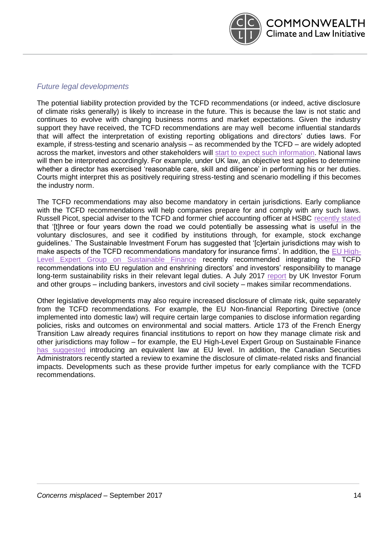

#### *Future legal developments*

The potential liability protection provided by the TCFD recommendations (or indeed, active disclosure of climate risks generally) is likely to increase in the future. This is because the law is not static and continues to evolve with changing business norms and market expectations. Given the industry support they have received, the TCFD recommendations are may well become influential standards that will affect the interpretation of existing reporting obligations and directors' duties laws. For example, if stress-testing and scenario analysis – as recommended by the TCFD – are widely adopted across the market, investors and other stakeholders will [start to expect such information.](https://www.pwc.co.uk/sustainability-climate-change/assets/pdf/tcfd-final-report.pdf) National laws will then be interpreted accordingly. For example, under UK law, an objective test applies to determine whether a director has exercised 'reasonable care, skill and diligence' in performing his or her duties. Courts might interpret this as positively requiring stress-testing and scenario modelling if this becomes the industry norm.

The TCFD recommendations may also become mandatory in certain jurisdictions. Early compliance with the TCFD recommendations will help companies prepare for and comply with any such laws. Russell Picot, special adviser to the TCFD and former chief accounting officer at HSBC [recently stated](https://www.ipe.com/investment/esg/esg-the-climate-conundrum/10019715.article?utm_term=&utm_source=IPE%20Weekly%20View&utm_medium=Email&utm_content=ESG%3A%20The%20climate%20conundrum%C2%A0_https%3A%2F%2Fwww.ipe.com%2Finvestment%2Fesg%2Fesg-the-climate-conundrum%2F10019715.article&utm_campaign=3.7.16%20ipe%20weely%20view_Could%20climate%20cause%20the%20next%20financial%20crisis%3F) that '[t]hree or four years down the road we could potentially be assessing what is useful in the voluntary disclosures, and see it codified by institutions through, for example, stock exchange guidelines.' The Sustainable Investment Forum has suggested that '[c]ertain jurisdictions may wish to make aspects of the TCFD recommendations mandatory for insurance firms'. In addition, the [EU High-](http://ec.europa.eu/info/sites/info/files/170713-sustainable-finance-report_en.pdf)[Level Expert Group on Sustainable Finance](http://ec.europa.eu/info/sites/info/files/170713-sustainable-finance-report_en.pdf) recently recommended integrating the TCFD recommendations into EU regulation and enshrining directors' and investors' responsibility to manage long-term sustainability risks in their relevant legal duties. A July 2017 [report](https://docs.wixstatic.com/ugd/1cf1e4_ef1b124345b04d63968e8a8d7d19f548.pdf) by UK Investor Forum and other groups – including bankers, investors and civil society – makes similar recommendations.

Other legislative developments may also require increased disclosure of climate risk, quite separately from the TCFD recommendations. For example, the EU Non-financial Reporting Directive (once implemented into domestic law) will require certain large companies to disclose information regarding policies, risks and outcomes on environmental and social matters. Article 173 of the French Energy Transition Law already requires financial institutions to report on how they manage climate risk and other jurisdictions may follow – for example, the EU High-Level Expert Group on Sustainable Finance [has suggested](http://ec.europa.eu/info/sites/info/files/170713-sustainable-finance-report_en.pdf) introducing an equivalent law at EU level. In addition, the Canadian Securities Administrators recently started a review to examine the disclosure of climate-related risks and financial impacts. Developments such as these provide further impetus for early compliance with the TCFD recommendations.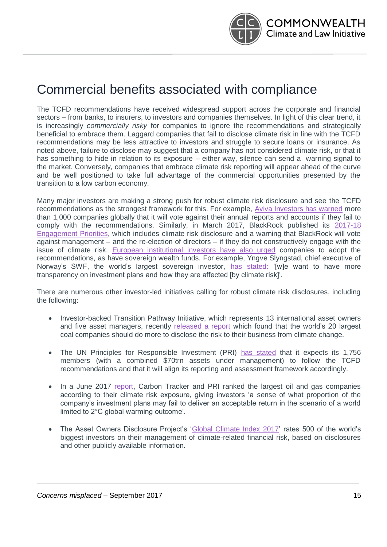

## Commercial benefits associated with compliance

The TCFD recommendations have received widespread support across the corporate and financial sectors – from banks, to insurers, to investors and companies themselves. In light of this clear trend, it is increasingly *commercially risky* for companies to ignore the recommendations and strategically beneficial to embrace them. Laggard companies that fail to disclose climate risk in line with the TCFD recommendations may be less attractive to investors and struggle to secure loans or insurance. As noted above, failure to disclose may suggest that a company has not considered climate risk, or that it has something to hide in relation to its exposure – either way, silence can send a warning signal to the market. Conversely, companies that embrace climate risk reporting will appear ahead of the curve and be well positioned to take full advantage of the commercial opportunities presented by the transition to a low carbon economy.

Many major investors are making a strong push for robust climate risk disclosure and see the TCFD recommendations as the strongest framework for this. For example, [Aviva Investors has warned](https://www.ft.com/content/69daf7c6-67e3-11e7-9a66-93fb352ba1fe) more than 1,000 companies globally that it will vote against their annual reports and accounts if they fail to comply with the recommendations. Similarly, in March 2017, BlackRock published its [2017-18](https://www.blackrock.com/corporate/en-us/about-us/investment-stewardship/engagement-priorities)  [Engagement Priorities,](https://www.blackrock.com/corporate/en-us/about-us/investment-stewardship/engagement-priorities) which includes climate risk disclosure and a warning that BlackRock will vote against management – and the re-election of directors – if they do not constructively engage with the issue of climate risk. [European institutional investors have also urged](https://www.ipe.com/news/esg/investors-urge-widespread-adoption-of-tcfd-climate-reporting-framework/10019644.article?utm_term=&utm_source=IPE%20Weekly%20View&utm_medium=Email&utm_content=Read%20More..._https%3A%2F%2Fwww.ipe.com%2Fnews%2Fesg%2Finvestors-urge-widespread-adoption-of-tcfd-climate-reporting-framework%2F10019644.article&utm_campaign=3.7.16%20ipe%20weely%20view_Could%20climate%20cause%20the%20next%20financial%20crisis%3F) companies to adopt the recommendations, as have sovereign wealth funds. For example, Yngve Slyngstad, chief executive of Norway's SWF, the world's largest sovereign investor, [has stated:](http://uk.reuters.com/article/us-global-swf-environment-idUKKBN19A0HP) '[w]e want to have more transparency on investment plans and how they are affected [by climate risk]'.

There are numerous other investor-led initiatives calling for robust climate risk disclosures, including the following:

- Investor-backed Transition Pathway Initiative, which represents 13 international asset owners and five asset managers, recently [released a report](http://www.lse.ac.uk/GranthamInstitute/tpi/wp-content/uploads/2017/07/TPI-Mining-Management-Quality-FINAL-JULY.pdf) which found that the world's 20 largest coal companies should do more to disclose the risk to their business from climate change.
- The UN Principles for Responsible Investment (PRI) [has stated](https://app.esg-magazine.com/2017/07/13/what-do-international-investors-companies-and-civil-society-think-of-the-tcfd-report/pugpig_index.html) that it expects its 1,756 members (with a combined \$70trn assets under management) to follow the TCFD recommendations and that it will align its reporting and assessment framework accordingly.
- In a June 2017 [report,](http://www.carbontracker.org/wp-content/uploads/2017/06/2D-of-separation_PRI-CTI_report_correct_2.pdf) Carbon Tracker and PRI ranked the largest oil and gas companies according to their climate risk exposure, giving investors 'a sense of what proportion of the company's investment plans may fail to deliver an acceptable return in the scenario of a world limited to 2°C global warming outcome'.
- The Asset Owners Disclosure Project's ['Global Climate Index 2017'](http://aodproject.net/wp-content/uploads/2017/04/AODP-GLOBAL-INDEX-REPORT-2017_FINAL_VIEW.pdf) rates 500 of the world's biggest investors on their management of climate-related financial risk, based on disclosures and other publicly available information.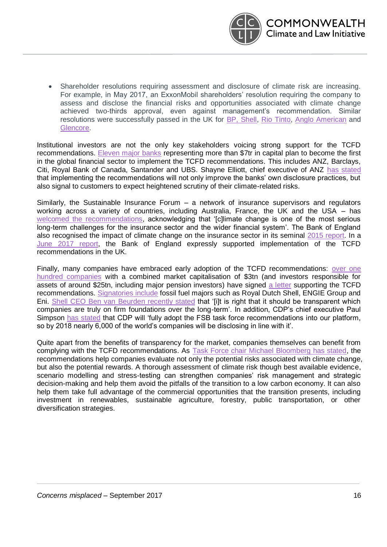

• Shareholder resolutions requiring assessment and disclosure of climate risk are increasing. For example, in May 2017, an ExxonMobil shareholders' resolution requiring the company to assess and disclose the financial risks and opportunities associated with climate change achieved two-thirds approval, even against management's recommendation. Similar resolutions were successfully passed in the UK for [BP, Shell,](https://www.clientearth.org/shell-follows-bp-with-climate-change-resolution/) [Rio Tinto,](https://www.clientearth.org/rio-tinto-board-backs-climate-resolution/) [Anglo American](https://www.clientearth.org/mining-giant-anglo-american-backs-climate-change-resolutions/) and [Glencore.](https://www.churchofengland.org/media-centre/news/2016/05/%E2%80%98aiming-for-a%E2%80%99-climate-change-resolution-overwhelmingly-approved-by-glencore-shareholders.aspx)

Institutional investors are not the only key stakeholders voicing strong support for the TCFD recommendations. [Eleven major banks](https://www.businessgreen.com/bg/news/3013567/eleven-leading-banks-announce-plans-to-pilot-fsb-climate-risk-guidelines) representing more than \$7tr in capital plan to become the first in the global financial sector to implement the TCFD recommendations. This includes ANZ, Barclays, Citi, Royal Bank of Canada, Santander and UBS. Shayne Elliott, chief executive of ANZ [has stated](https://www.businessgreen.com/bg/news/3013567/eleven-leading-banks-announce-plans-to-pilot-fsb-climate-risk-guidelines) that implementing the recommendations will not only improve the banks' own disclosure practices, but also signal to customers to expect heightened scrutiny of their climate-related risks.

Similarly, the Sustainable Insurance Forum – a network of insurance supervisors and regulators working across a variety of countries, including Australia, France, the UK and the USA – has [welcomed the recommendations,](http://unepinquiry.org/wp-content/uploads/2017/07/SIF_TCFD_Statement_July_2017.pdf) acknowledging that '[c]limate change is one of the most serious long-term challenges for the insurance sector and the wider financial system'. The Bank of England also recognised the impact of climate change on the insurance sector in its seminal [2015 report.](http://www.bankofengland.co.uk/pra/Documents/supervision/activities/pradefra0915.pdf) In a [June 2017 report,](http://www.bankofengland.co.uk/Pages/reader/index.aspx?pub=qb17q2article2&page=1) the Bank of England expressly supported implementation of the TCFD recommendations in the UK.

Finally, many companies have embraced early adoption of the TCFD recommendations: over one [hundred companies](http://citywire.co.uk/wealth-manager/news/investors-with-25trn-of-aum-back-climate-disclosures/a1029476#i=1) with a combined market capitalisation of \$3tn (and investors responsible for assets of around \$25tn, including major pension investors) have signed [a letter](http://citywire.co.uk/wealth-manager/news/investors-with-25trn-of-aum-back-climate-disclosures/a1029476#i=1) supporting the TCFD recommendations. [Signatories include](https://www.theguardian.com/environment/2017/jun/29/banks-should-disclose-lending-to-companies-with-carbon-related-risks-says-report?CMP=Share_iOSApp_Other) fossil fuel majors such as Royal Dutch Shell, ENGIE Group and Eni. Shell CEO Ben van [Beurden recently stated](http://www.reuters.com/article/us-shell-climatechange-idUSKBN19P238) that '[i]t is right that it should be transparent which companies are truly on firm foundations over the long-term'. In addition, CDP's chief executive Paul Simpson [has stated](http://responsible-investor.us1.list-manage.com/track/click?u=ffe307b9b5f29e3e1844c424c&id=97eeefbff9&e=81e31667ed) that CDP will 'fully adopt the FSB task force recommendations into our platform, so by 2018 nearly 6,000 of the world's companies will be disclosing in line with it'.

Quite apart from the benefits of transparency for the market, companies themselves can benefit from complying with the TCFD recommendations. As [Task Force chair Michael Bloomberg has stated,](http://citywire.co.uk/wealth-manager/news/investors-with-25trn-of-aum-back-climate-disclosures/a1029476#i=1) the recommendations help companies evaluate not only the potential risks associated with climate change, but also the potential rewards. A thorough assessment of climate risk though best available evidence, scenario modelling and stress-testing can strengthen companies' risk management and strategic decision-making and help them avoid the pitfalls of the transition to a low carbon economy. It can also help them take full advantage of the commercial opportunities that the transition presents, including investment in renewables, sustainable agriculture, forestry, public transportation, or other diversification strategies.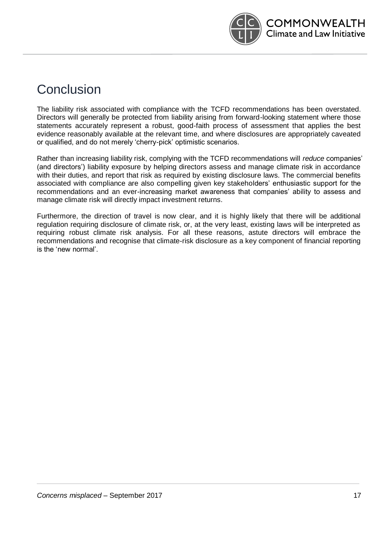

## Conclusion

The liability risk associated with compliance with the TCFD recommendations has been overstated. Directors will generally be protected from liability arising from forward-looking statement where those statements accurately represent a robust, good-faith process of assessment that applies the best evidence reasonably available at the relevant time, and where disclosures are appropriately caveated or qualified, and do not merely 'cherry-pick' optimistic scenarios.

Rather than increasing liability risk, complying with the TCFD recommendations will *reduce* companies' (and directors') liability exposure by helping directors assess and manage climate risk in accordance with their duties, and report that risk as required by existing disclosure laws. The commercial benefits associated with compliance are also compelling given key stakeholders' enthusiastic support for the recommendations and an ever-increasing market awareness that companies' ability to assess and manage climate risk will directly impact investment returns.

Furthermore, the direction of travel is now clear, and it is highly likely that there will be additional regulation requiring disclosure of climate risk, or, at the very least, existing laws will be interpreted as requiring robust climate risk analysis. For all these reasons, astute directors will embrace the recommendations and recognise that climate-risk disclosure as a key component of financial reporting is the 'new normal'.